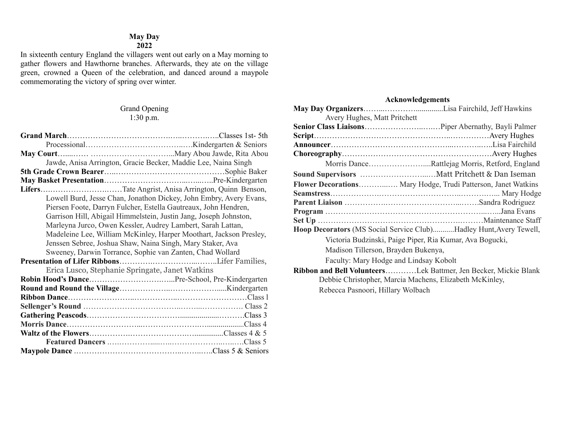### **May Day**

## **2022**

In sixteenth century England the villagers went out early on a May morning to gather flowers and Hawthorne branches. Afterwards, they ate on the village green, crowned a Queen of the celebration, and danced around a maypole commemorating the victory of spring over winter.

#### Grand Opening 1:30 p.m.

| Jawde, Anisa Arrington, Gracie Becker, Maddie Lee, Naina Singh     |  |
|--------------------------------------------------------------------|--|
|                                                                    |  |
|                                                                    |  |
| LifersTate Angrist, Anisa Arrington, Quinn Benson,                 |  |
| Lowell Burd, Jesse Chan, Jonathon Dickey, John Embry, Avery Evans, |  |
| Piersen Foote, Darryn Fulcher, Estella Gautreaux, John Hendren,    |  |
| Garrison Hill, Abigail Himmelstein, Justin Jang, Joseph Johnston,  |  |
| Marleyna Jurco, Owen Kessler, Audrey Lambert, Sarah Lattan,        |  |
| Madeleine Lee, William McKinley, Harper Moothart, Jackson Presley, |  |
| Jenssen Sebree, Joshua Shaw, Naina Singh, Mary Staker, Ava         |  |
| Sweeney, Darwin Torrance, Sophie van Zanten, Chad Wollard          |  |
|                                                                    |  |
| Erica Lusco, Stephanie Springate, Janet Watkins                    |  |
|                                                                    |  |
|                                                                    |  |
|                                                                    |  |
|                                                                    |  |
|                                                                    |  |
|                                                                    |  |
|                                                                    |  |
|                                                                    |  |
|                                                                    |  |

#### **Acknowledgements**

| Morris DanceRattlejag Morris, Retford, England                            |  |
|---------------------------------------------------------------------------|--|
|                                                                           |  |
| Flower Decorations Mary Hodge, Trudi Patterson, Janet Watkins             |  |
|                                                                           |  |
|                                                                           |  |
|                                                                           |  |
|                                                                           |  |
| <b>Hoop Decorators</b> (MS Social Service Club)Hadley Hunt, Avery Tewell, |  |
| Victoria Budzinski, Paige Piper, Ria Kumar, Ava Bogucki,                  |  |
| Madison Tillerson, Brayden Bukenya,                                       |  |
| Faculty: Mary Hodge and Lindsay Kobolt                                    |  |
| Ribbon and Bell VolunteersLek Battmer, Jen Becker, Mickie Blank           |  |
| Debbie Christopher, Marcia Machens, Elizabeth McKinley,                   |  |
|                                                                           |  |

Rebecca Pasnoori, Hillary Wolbach